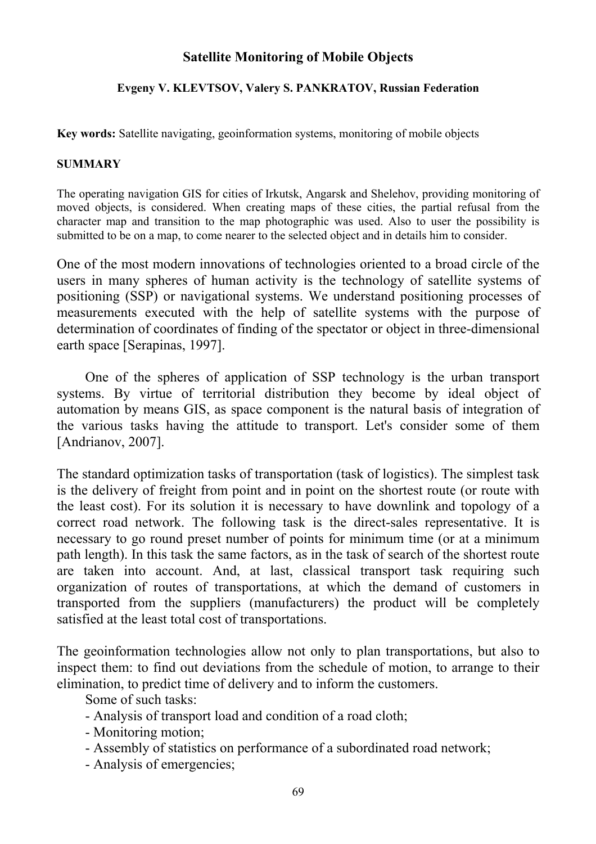## **Satellite Monitoring of Mobile Objects**

## **Evgeny V. KLEVTSOV, Valery S. PANKRATOV, Russian Federation**

**Key words:** Satellite navigating, geoinformation systems, monitoring of mobile objects

## **SUMMARY**

The operating navigation GIS for cities of Irkutsk, Angarsk and Shelehov, providing monitoring of moved objects, is considered. When creating maps of these cities, the partial refusal from the character map and transition to the map photographic was used. Also to user the possibility is submitted to be on a map, to come nearer to the selected object and in details him to consider.

One of the most modern innovations of technologies oriented to a broad circle of the users in many spheres of human activity is the technology of satellite systems of positioning (SSP) or navigational systems. We understand positioning processes of measurements executed with the help of satellite systems with the purpose of determination of coordinates of finding of the spectator or object in three-dimensional earth space [Serapinas, 1997].

One of the spheres of application of SSP technology is the urban transport systems. By virtue of territorial distribution they become by ideal object of automation by means GIS, as space component is the natural basis of integration of the various tasks having the attitude to transport. Let's consider some of them [Andrianov, 2007].

The standard optimization tasks of transportation (task of logistics). The simplest task is the delivery of freight from point and in point on the shortest route (or route with the least cost). For its solution it is necessary to have downlink and topology of a correct road network. The following task is the direct-sales representative. It is necessary to go round preset number of points for minimum time (or at a minimum path length). In this task the same factors, as in the task of search of the shortest route are taken into account. And, at last, classical transport task requiring such organization of routes of transportations, at which the demand of customers in transported from the suppliers (manufacturers) the product will be completely satisfied at the least total cost of transportations.

The geoinformation technologies allow not only to plan transportations, but also to inspect them: to find out deviations from the schedule of motion, to arrange to their elimination, to predict time of delivery and to inform the customers.

Some of such tasks:

- Analysis of transport load and condition of a road cloth;
- Monitoring motion;
- Assembly of statistics on performance of a subordinated road network;
- Analysis of emergencies;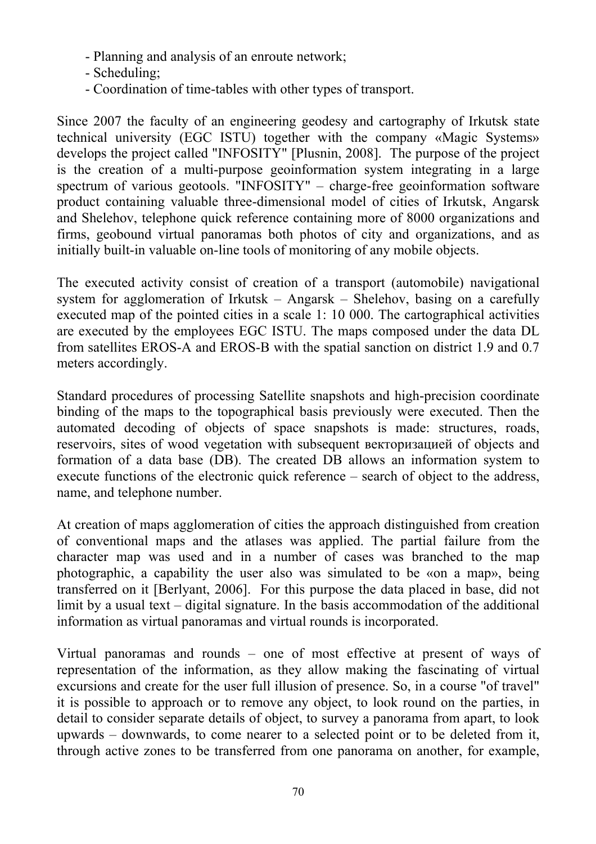- Planning and analysis of an enroute network;
- Scheduling;
- Coordination of time-tables with other types of transport.

Since 2007 the faculty of an engineering geodesy and cartography of Irkutsk state technical university (EGC ISTU) together with the company «Magic Systems» develops the project called "INFOSITY" [Plusnin, 2008]. The purpose of the project is the creation of a multi-purpose geoinformation system integrating in a large spectrum of various geotools. "INFOSITY" – charge-free geoinformation software product containing valuable three-dimensional model of cities of Irkutsk, Angarsk and Shelehov, telephone quick reference containing more of 8000 organizations and firms, geobound virtual panoramas both photos of city and organizations, and as initially built-in valuable on-line tools of monitoring of any mobile objects.

The executed activity consist of creation of a transport (automobile) navigational system for agglomeration of Irkutsk – Angarsk – Shelehov, basing on a carefully executed map of the pointed cities in a scale 1: 10 000. The cartographical activities are executed by the employees EGC ISTU. The maps composed under the data DL from satellites EROS-A and EROS-B with the spatial sanction on district 1.9 and 0.7 meters accordingly.

Standard procedures of processing Satellite snapshots and high-precision coordinate binding of the maps to the topographical basis previously were executed. Then the automated decoding of objects of space snapshots is made: structures, roads, reservoirs, sites of wood vegetation with subsequent векторизацией of objects and formation of a data base (DB). The created DB allows an information system to execute functions of the electronic quick reference – search of object to the address, name, and telephone number.

At creation of maps agglomeration of cities the approach distinguished from creation of conventional maps and the atlases was applied. The partial failure from the character map was used and in a number of cases was branched to the map photographic, a capability the user also was simulated to be «on a map», being transferred on it [Berlyant, 2006]. For this purpose the data placed in base, did not limit by a usual text – digital signature. In the basis accommodation of the additional information as virtual panoramas and virtual rounds is incorporated.

Virtual panoramas and rounds – one of most effective at present of ways of representation of the information, as they allow making the fascinating of virtual excursions and create for the user full illusion of presence. So, in a course "of travel" it is possible to approach or to remove any object, to look round on the parties, in detail to consider separate details of object, to survey a panorama from apart, to look upwards – downwards, to come nearer to a selected point or to be deleted from it, through active zones to be transferred from one panorama on another, for example,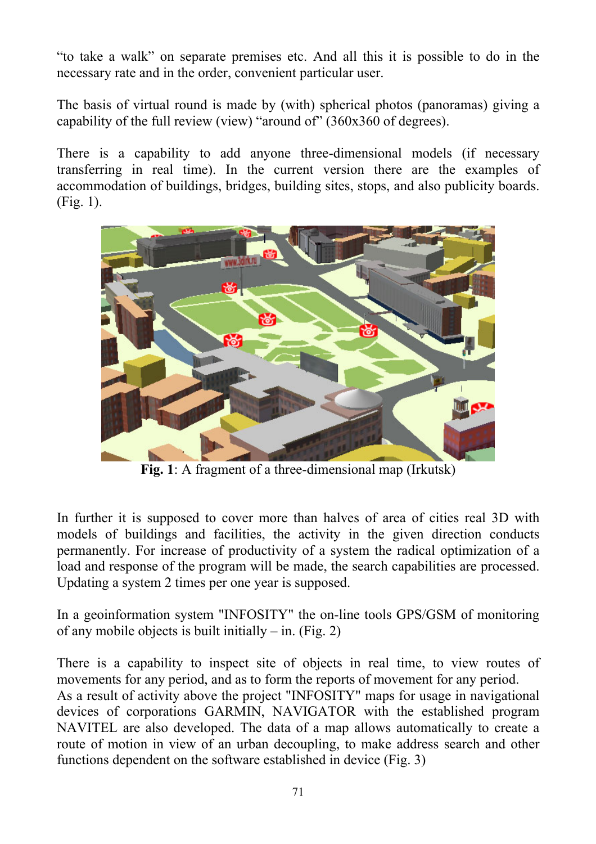"to take a walk" on separate premises etc. And all this it is possible to do in the necessary rate and in the order, convenient particular user.

The basis of virtual round is made by (with) spherical photos (panoramas) giving a capability of the full review (view) "around of" (360х360 of degrees).

There is a capability to add anyone three-dimensional models (if necessary transferring in real time). In the current version there are the examples of accommodation of buildings, bridges, building sites, stops, and also publicity boards. (Fig. 1).



**Fig. 1**: A fragment of a three-dimensional map (Irkutsk)

In further it is supposed to cover more than halves of area of cities real 3D with models of buildings and facilities, the activity in the given direction conducts permanently. For increase of productivity of a system the radical optimization of a load and response of the program will be made, the search capabilities are processed. Updating a system 2 times per one year is supposed.

In a geoinformation system "INFOSITY" the on-line tools GPS/GSM of monitoring of any mobile objects is built initially – in. (Fig. 2)

There is a capability to inspect site of objects in real time, to view routes of movements for any period, and as to form the reports of movement for any period. As a result of activity above the project "INFOSITY" maps for usage in navigational devices of corporations GARMIN, NAVIGATOR with the established program NAVITEL are also developed. The data of a map allows automatically to create a route of motion in view of an urban decoupling, to make address search and other functions dependent on the software established in device (Fig. 3)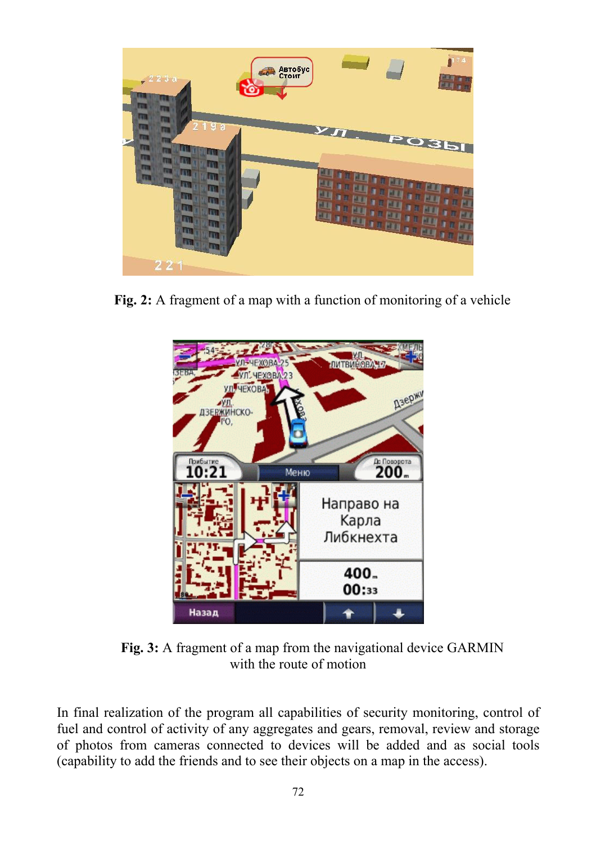

**Fig. 2:** A fragment of a map with a function of monitoring of a vehicle



**Fig. 3:** A fragment of a map from the navigational device GARMIN with the route of motion

In final realization of the program all capabilities of security monitoring, control of fuel and control of activity of any aggregates and gears, removal, review and storage of photos from cameras connected to devices will be added and as social tools (capability to add the friends and to see their objects on a map in the access).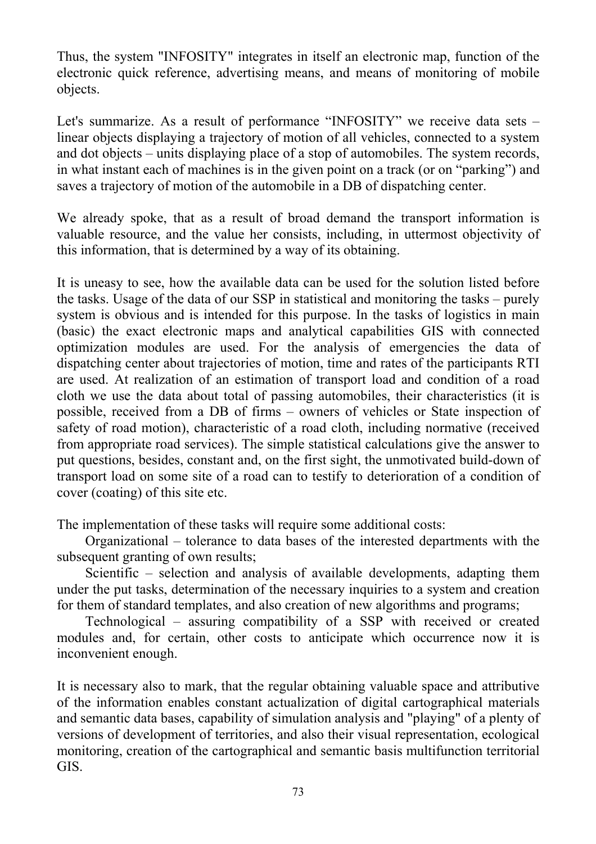Thus, the system "INFOSITY" integrates in itself an electronic map, function of the electronic quick reference, advertising means, and means of monitoring of mobile objects.

Let's summarize. As a result of performance "INFOSITY" we receive data sets – linear objects displaying a trajectory of motion of all vehicles, connected to a system and dot objects – units displaying place of a stop of automobiles. The system records, in what instant each of machines is in the given point on a track (or on "parking") and saves a trajectory of motion of the automobile in a DB of dispatching center.

We already spoke, that as a result of broad demand the transport information is valuable resource, and the value her consists, including, in uttermost objectivity of this information, that is determined by a way of its obtaining.

It is uneasy to see, how the available data can be used for the solution listed before the tasks. Usage of the data of our SSP in statistical and monitoring the tasks – purely system is obvious and is intended for this purpose. In the tasks of logistics in main (basic) the exact electronic maps and analytical capabilities GIS with connected optimization modules are used. For the analysis of emergencies the data of dispatching center about trajectories of motion, time and rates of the participants RТI are used. At realization of an estimation of transport load and condition of a road cloth we use the data about total of passing automobiles, their characteristics (it is possible, received from a DB of firms – owners of vehicles or State inspection of safety of road motion), characteristic of a road cloth, including normative (received from appropriate road services). The simple statistical calculations give the answer to put questions, besides, constant and, on the first sight, the unmotivated build-down of transport load on some site of a road can to testify to deterioration of a condition of cover (coating) of this site etc.

The implementation of these tasks will require some additional costs:

Organizational – tolerance to data bases of the interested departments with the subsequent granting of own results;

Scientific – selection and analysis of available developments, adapting them under the put tasks, determination of the necessary inquiries to a system and creation for them of standard templates, and also creation of new algorithms and programs;

Technological – assuring compatibility of a SSP with received or created modules and, for certain, other costs to anticipate which occurrence now it is inconvenient enough.

It is necessary also to mark, that the regular obtaining valuable space and attributive of the information enables constant actualization of digital cartographical materials and semantic data bases, capability of simulation analysis and "playing" of a plenty of versions of development of territories, and also their visual representation, ecological monitoring, creation of the cartographical and semantic basis multifunction territorial GIS.